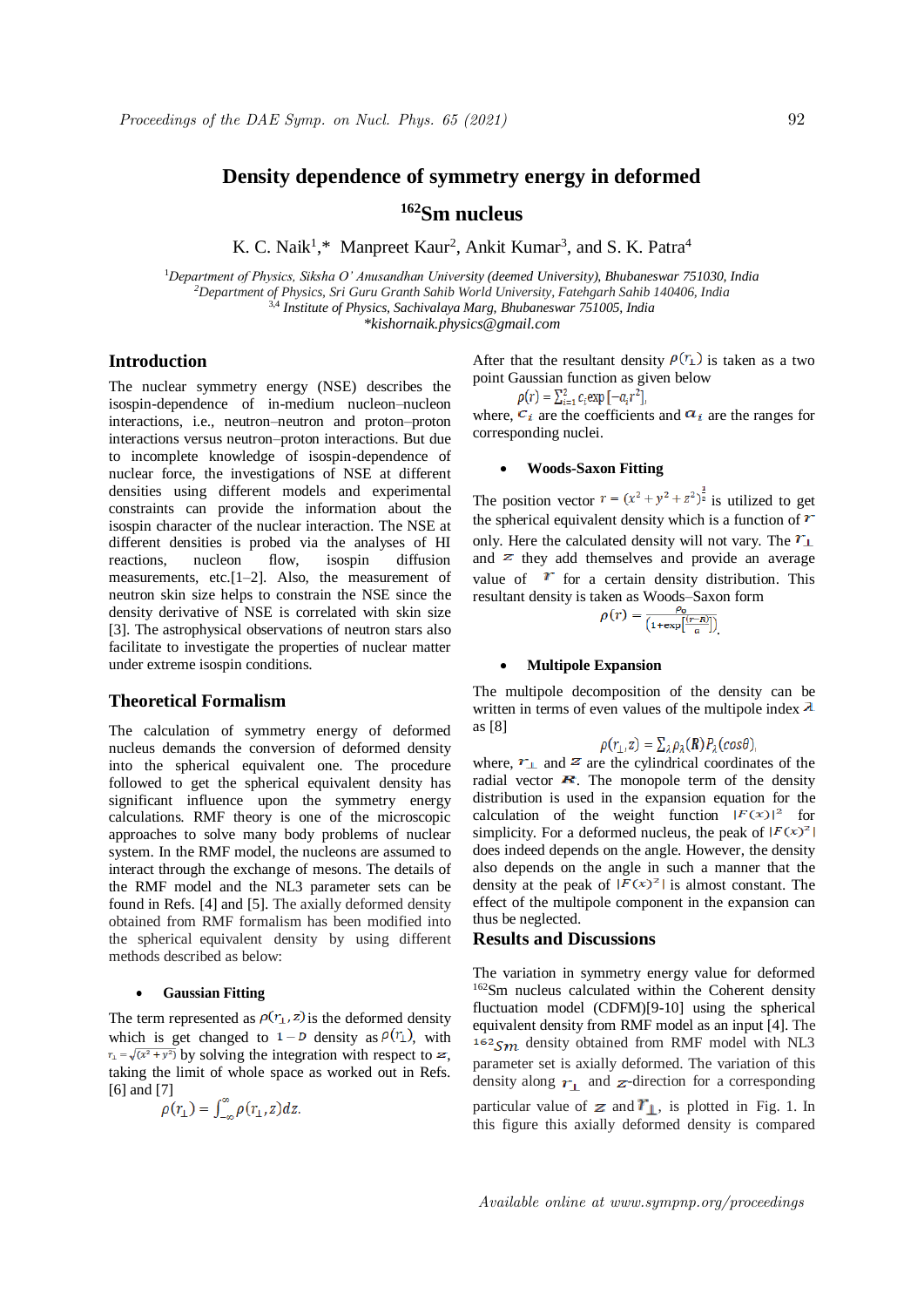# **Density dependence of symmetry energy in deformed**

## **<sup>162</sup>Sm nucleus**

K. C. Naik<sup>1</sup>,\* Manpreet Kaur<sup>2</sup>, Ankit Kumar<sup>3</sup>, and S. K. Patra<sup>4</sup>

<sup>1</sup>*Department of Physics, Siksha O' Anusandhan University (deemed University), Bhubaneswar 751030, India <sup>2</sup>Department of Physics, Sri Guru Granth Sahib World University, Fatehgarh Sahib 140406, India* 3,4 *Institute of Physics, Sachivalaya Marg, Bhubaneswar 751005, India \*kishornaik.physics@gmail.com*

## **Introduction**

The nuclear symmetry energy (NSE) describes the isospin-dependence of in-medium nucleon–nucleon interactions, i.e., neutron–neutron and proton–proton interactions versus neutron–proton interactions. But due to incomplete knowledge of isospin-dependence of nuclear force, the investigations of NSE at different densities using different models and experimental constraints can provide the information about the isospin character of the nuclear interaction. The NSE at different densities is probed via the analyses of HI reactions, nucleon flow, isospin diffusion measurements, etc.[1–2]. Also, the measurement of neutron skin size helps to constrain the NSE since the density derivative of NSE is correlated with skin size [3]. The astrophysical observations of neutron stars also facilitate to investigate the properties of nuclear matter under extreme isospin conditions.

## **Theoretical Formalism**

The calculation of symmetry energy of deformed nucleus demands the conversion of deformed density into the spherical equivalent one. The procedure followed to get the spherical equivalent density has significant influence upon the symmetry energy calculations. RMF theory is one of the microscopic approaches to solve many body problems of nuclear system. In the RMF model, the nucleons are assumed to interact through the exchange of mesons. The details of the RMF model and the NL3 parameter sets can be found in Refs. [4] and [5]. The axially deformed density obtained from RMF formalism has been modified into the spherical equivalent density by using different methods described as below:

#### **Gaussian Fitting**

The term represented as  $\rho(r_\perp, z)$  is the deformed density which is get changed to  $1 - D$  density as  $\rho(r_1)$ , with  $r_1 = \sqrt{(x^2 + y^2)}$  by solving the integration with respect to z. taking the limit of whole space as worked out in Refs. [6] and [7]

$$
\rho(r_{\perp}) = \int_{-\infty}^{\infty} \rho(r_{\perp}, z) dz.
$$

After that the resultant density  $\rho(r_{\perp})$  is taken as a two point Gaussian function as given below

$$
\rho(r) = \sum_{i=1}^{2} c_i \exp\left[-a_i r^2\right],
$$

where,  $c_i$  are the coefficients and  $a_i$  are the ranges for corresponding nuclei.

## **Woods-Saxon Fitting**

The position vector  $r = (x^2 + y^2 + z^2)^{\frac{1}{2}}$  is utilized to get the spherical equivalent density which is a function of  $\bm{r}$ only. Here the calculated density will not vary. The  $\mathcal{T}_{\perp}$ and  $\overline{z}$  they add themselves and provide an average value of  $\boldsymbol{r}$  for a certain density distribution. This resultant density is taken as Woods–Saxon form

$$
\rho(r) = \frac{\rho_0}{\left(1 + \exp\left[\frac{(r - R)}{a}\right]\right)}
$$

#### **Multipole Expansion**

The multipole decomposition of the density can be written in terms of even values of the multipole index  $\lambda$ as [8]

$$
\rho(r_{\perp},z) = \sum_{\lambda} \rho_{\lambda}(R) P_{\lambda}(cos\theta),
$$

where,  $\mathbf{r}_{\perp}$  and  $\mathbf{z}$  are the cylindrical coordinates of the radial vector  $\mathbf{R}$ . The monopole term of the density distribution is used in the expansion equation for the calculation of the weight function  $|F(x)|^2$  for simplicity. For a deformed nucleus, the peak of  $|F(x)|^2$ does indeed depends on the angle. However, the density also depends on the angle in such a manner that the density at the peak of  $|F(x)^2|$  is almost constant. The effect of the multipole component in the expansion can thus be neglected.

## **Results and Discussions**

The variation in symmetry energy value for deformed <sup>162</sup>Sm nucleus calculated within the Coherent density fluctuation model (CDFM)[9-10] using the spherical equivalent density from RMF model as an input [4]. The  $162$ <sub>Sm</sub> density obtained from RMF model with NL3 parameter set is axially deformed. The variation of this density along  $r_1$  and  $z$ -direction for a corresponding particular value of  $\boldsymbol{z}$  and  $\boldsymbol{r}_1$ , is plotted in Fig. 1. In this figure this axially deformed density is compared